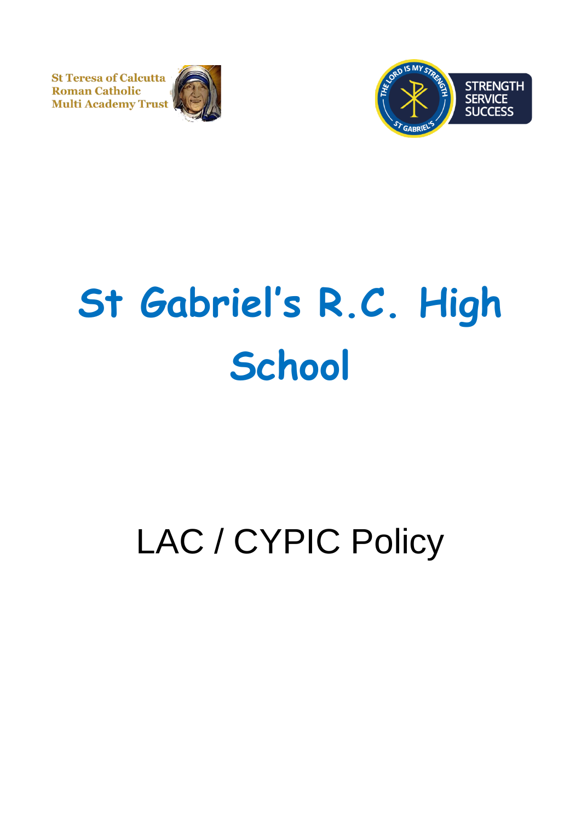**St Teresa of Calcutta Roman Catholic Multi Academy Trust** 





# **St Gabriel's R.C. High School**

# LAC / CYPIC Policy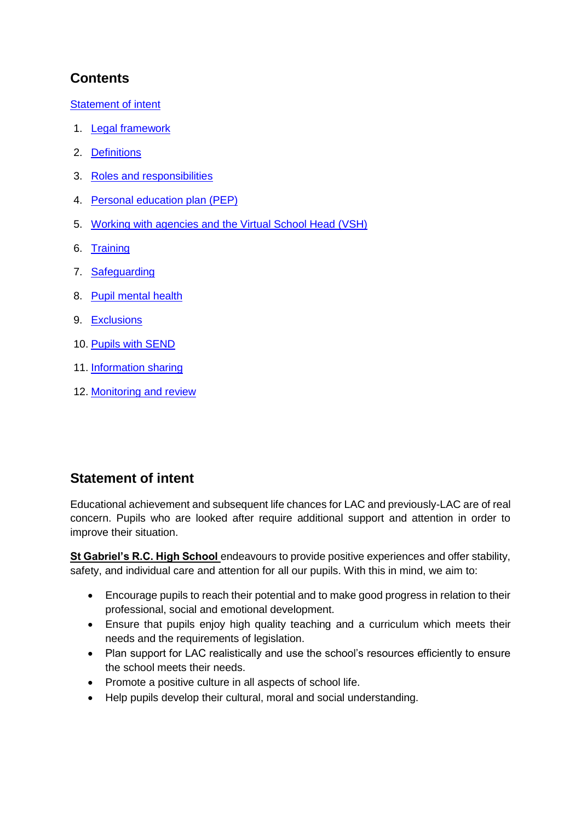# **Contents**

[Statement of intent](#page-1-0)

- 1. [Legal framework](#page-2-0)
- 2. [Definitions](#page-2-1)
- 3. [Roles and responsibilities](#page-3-0)
- 4. [Personal education plan \(PEP\)](#page-5-0)
- 5. [Working with agencies and the Virtual School Head \(VSH\)](#page-6-0)
- 6. [Training](#page-7-0)
- 7. [Safeguarding](#page-7-1)
- 8. [Pupil mental health](#page-8-0)
- 9. [Exclusions](#page-8-1)
- 10. [Pupils with SEND](#page-9-0)
- 11. [Information sharing](#page-9-1)
- 12. [Monitoring and review](#page-9-2)

# <span id="page-1-0"></span>**Statement of intent**

Educational achievement and subsequent life chances for LAC and previously-LAC are of real concern. Pupils who are looked after require additional support and attention in order to improve their situation.

**St Gabriel's R.C. High School** endeavours to provide positive experiences and offer stability, safety, and individual care and attention for all our pupils. With this in mind, we aim to:

- Encourage pupils to reach their potential and to make good progress in relation to their professional, social and emotional development.
- Ensure that pupils enjoy high quality teaching and a curriculum which meets their needs and the requirements of legislation.
- Plan support for LAC realistically and use the school's resources efficiently to ensure the school meets their needs.
- Promote a positive culture in all aspects of school life.
- Help pupils develop their cultural, moral and social understanding.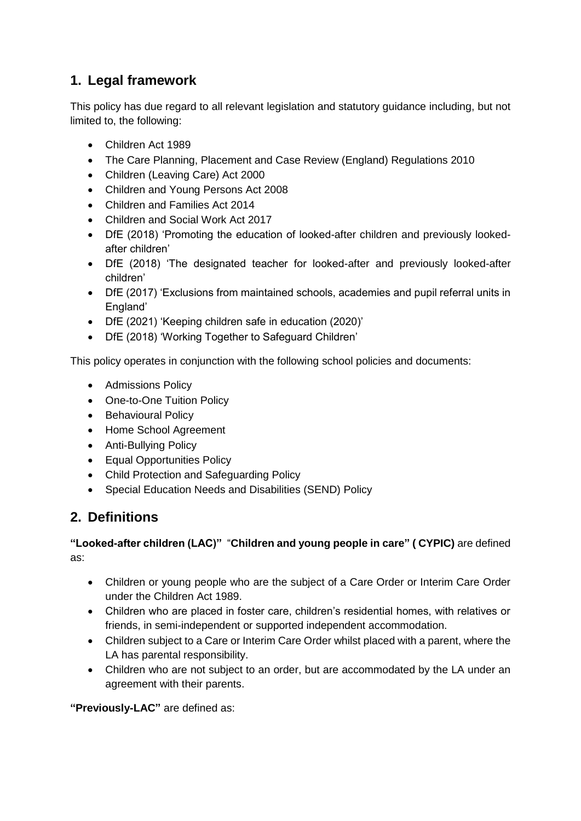# <span id="page-2-0"></span>**1. Legal framework**

This policy has due regard to all relevant legislation and statutory guidance including, but not limited to, the following:

- Children Act 1989
- The Care Planning, Placement and Case Review (England) Regulations 2010
- Children (Leaving Care) Act 2000
- Children and Young Persons Act 2008
- Children and Families Act 2014
- Children and Social Work Act 2017
- DfE (2018) 'Promoting the education of looked-after children and previously lookedafter children'
- DfE (2018) 'The designated teacher for looked-after and previously looked-after children'
- DfE (2017) 'Exclusions from maintained schools, academies and pupil referral units in England'
- DfE (2021) 'Keeping children safe in education (2020)'
- DfE (2018) 'Working Together to Safeguard Children'

This policy operates in conjunction with the following school policies and documents:

- Admissions Policy
- One-to-One Tuition Policy
- Behavioural Policy
- Home School Agreement
- Anti-Bullying Policy
- Equal Opportunities Policy
- Child Protection and Safeguarding Policy
- Special Education Needs and Disabilities (SEND) Policy

# <span id="page-2-1"></span>**2. Definitions**

**"Looked-after children (LAC)"** "**Children and young people in care" ( CYPIC)** are defined as:

- Children or young people who are the subject of a Care Order or Interim Care Order under the Children Act 1989.
- Children who are placed in foster care, children's residential homes, with relatives or friends, in semi-independent or supported independent accommodation.
- Children subject to a Care or Interim Care Order whilst placed with a parent, where the LA has parental responsibility.
- Children who are not subject to an order, but are accommodated by the LA under an agreement with their parents.

**"Previously-LAC"** are defined as: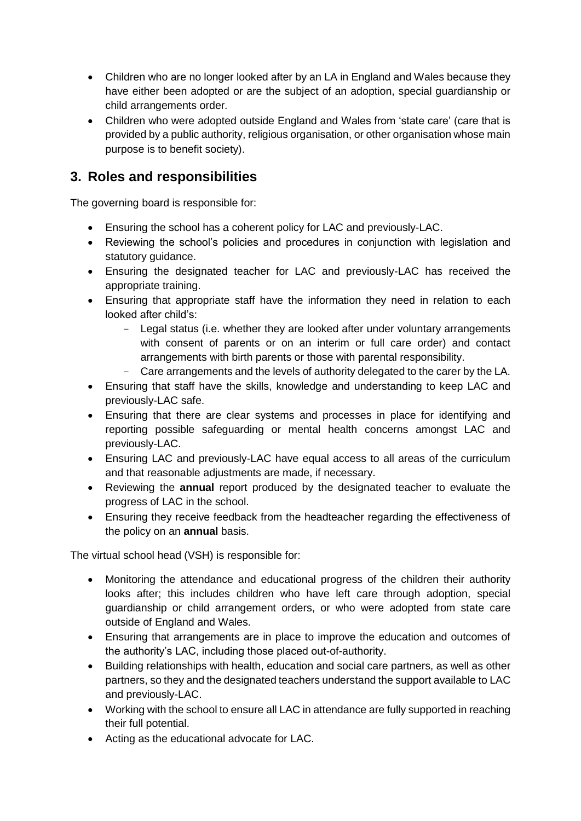- Children who are no longer looked after by an LA in England and Wales because they have either been adopted or are the subject of an adoption, special guardianship or child arrangements order.
- Children who were adopted outside England and Wales from 'state care' (care that is provided by a public authority, religious organisation, or other organisation whose main purpose is to benefit society).

# <span id="page-3-0"></span>**3. Roles and responsibilities**

The governing board is responsible for:

- Ensuring the school has a coherent policy for LAC and previously-LAC.
- Reviewing the school's policies and procedures in conjunction with legislation and statutory guidance.
- Ensuring the designated teacher for LAC and previously-LAC has received the appropriate training.
- Ensuring that appropriate staff have the information they need in relation to each looked after child's:
	- Legal status (i.e. whether they are looked after under voluntary arrangements with consent of parents or on an interim or full care order) and contact arrangements with birth parents or those with parental responsibility.
	- Care arrangements and the levels of authority delegated to the carer by the LA.
- Ensuring that staff have the skills, knowledge and understanding to keep LAC and previously-LAC safe.
- Ensuring that there are clear systems and processes in place for identifying and reporting possible safeguarding or mental health concerns amongst LAC and previously-LAC.
- Ensuring LAC and previously-LAC have equal access to all areas of the curriculum and that reasonable adjustments are made, if necessary.
- Reviewing the **annual** report produced by the designated teacher to evaluate the progress of LAC in the school.
- Ensuring they receive feedback from the headteacher regarding the effectiveness of the policy on an **annual** basis.

The virtual school head (VSH) is responsible for:

- Monitoring the attendance and educational progress of the children their authority looks after; this includes children who have left care through adoption, special guardianship or child arrangement orders, or who were adopted from state care outside of England and Wales.
- Ensuring that arrangements are in place to improve the education and outcomes of the authority's LAC, including those placed out-of-authority.
- Building relationships with health, education and social care partners, as well as other partners, so they and the designated teachers understand the support available to LAC and previously-LAC.
- Working with the school to ensure all LAC in attendance are fully supported in reaching their full potential.
- Acting as the educational advocate for LAC.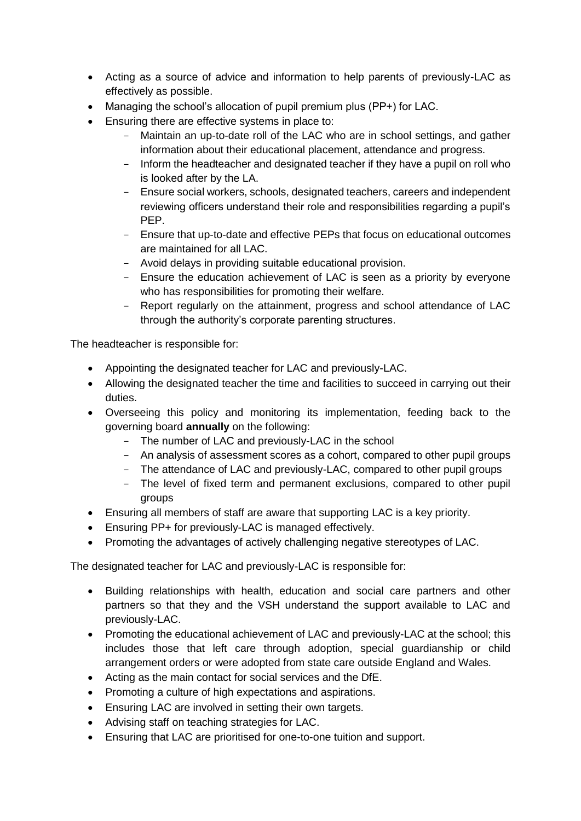- Acting as a source of advice and information to help parents of previously-LAC as effectively as possible.
- Managing the school's allocation of pupil premium plus (PP+) for LAC.
- Ensuring there are effective systems in place to:
	- Maintain an up-to-date roll of the LAC who are in school settings, and gather information about their educational placement, attendance and progress.
	- Inform the headteacher and designated teacher if they have a pupil on roll who is looked after by the LA.
	- Ensure social workers, schools, designated teachers, careers and independent reviewing officers understand their role and responsibilities regarding a pupil's PEP.
	- Ensure that up-to-date and effective PEPs that focus on educational outcomes are maintained for all LAC.
	- Avoid delays in providing suitable educational provision.
	- Ensure the education achievement of LAC is seen as a priority by everyone who has responsibilities for promoting their welfare.
	- Report regularly on the attainment, progress and school attendance of LAC through the authority's corporate parenting structures.

The headteacher is responsible for:

- Appointing the designated teacher for LAC and previously-LAC.
- Allowing the designated teacher the time and facilities to succeed in carrying out their duties.
- Overseeing this policy and monitoring its implementation, feeding back to the governing board **annually** on the following:
	- The number of LAC and previously-LAC in the school
	- An analysis of assessment scores as a cohort, compared to other pupil groups
	- The attendance of LAC and previously-LAC, compared to other pupil groups
	- The level of fixed term and permanent exclusions, compared to other pupil groups
- Ensuring all members of staff are aware that supporting LAC is a key priority.
- Ensuring PP+ for previously-LAC is managed effectively.
- Promoting the advantages of actively challenging negative stereotypes of LAC.

The designated teacher for LAC and previously-LAC is responsible for:

- Building relationships with health, education and social care partners and other partners so that they and the VSH understand the support available to LAC and previously-LAC.
- Promoting the educational achievement of LAC and previously-LAC at the school; this includes those that left care through adoption, special guardianship or child arrangement orders or were adopted from state care outside England and Wales.
- Acting as the main contact for social services and the DfE.
- Promoting a culture of high expectations and aspirations.
- Ensuring LAC are involved in setting their own targets.
- Advising staff on teaching strategies for LAC.
- Ensuring that LAC are prioritised for one-to-one tuition and support.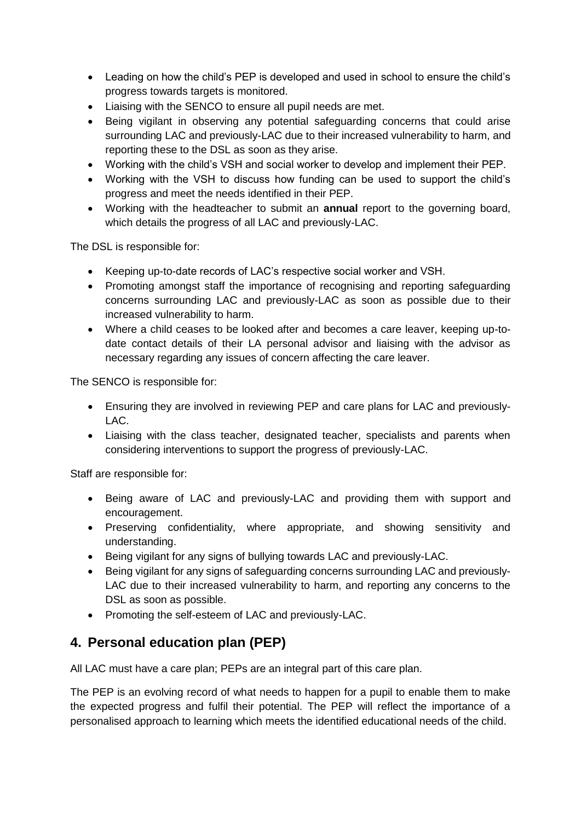- Leading on how the child's PEP is developed and used in school to ensure the child's progress towards targets is monitored.
- Liaising with the SENCO to ensure all pupil needs are met.
- Being vigilant in observing any potential safeguarding concerns that could arise surrounding LAC and previously-LAC due to their increased vulnerability to harm, and reporting these to the DSL as soon as they arise.
- Working with the child's VSH and social worker to develop and implement their PEP.
- Working with the VSH to discuss how funding can be used to support the child's progress and meet the needs identified in their PEP.
- Working with the headteacher to submit an **annual** report to the governing board, which details the progress of all LAC and previously-LAC.

The DSL is responsible for:

- Keeping up-to-date records of LAC's respective social worker and VSH.
- Promoting amongst staff the importance of recognising and reporting safeguarding concerns surrounding LAC and previously-LAC as soon as possible due to their increased vulnerability to harm.
- Where a child ceases to be looked after and becomes a care leaver, keeping up-todate contact details of their LA personal advisor and liaising with the advisor as necessary regarding any issues of concern affecting the care leaver.

The SENCO is responsible for:

- Ensuring they are involved in reviewing PEP and care plans for LAC and previously-LAC.
- Liaising with the class teacher, designated teacher, specialists and parents when considering interventions to support the progress of previously-LAC.

Staff are responsible for:

- Being aware of LAC and previously-LAC and providing them with support and encouragement.
- Preserving confidentiality, where appropriate, and showing sensitivity and understanding.
- Being vigilant for any signs of bullying towards LAC and previously-LAC.
- Being vigilant for any signs of safeguarding concerns surrounding LAC and previously-LAC due to their increased vulnerability to harm, and reporting any concerns to the DSL as soon as possible.
- Promoting the self-esteem of LAC and previously-LAC.

#### <span id="page-5-0"></span>**4. Personal education plan (PEP)**

All LAC must have a care plan; PEPs are an integral part of this care plan.

The PEP is an evolving record of what needs to happen for a pupil to enable them to make the expected progress and fulfil their potential. The PEP will reflect the importance of a personalised approach to learning which meets the identified educational needs of the child.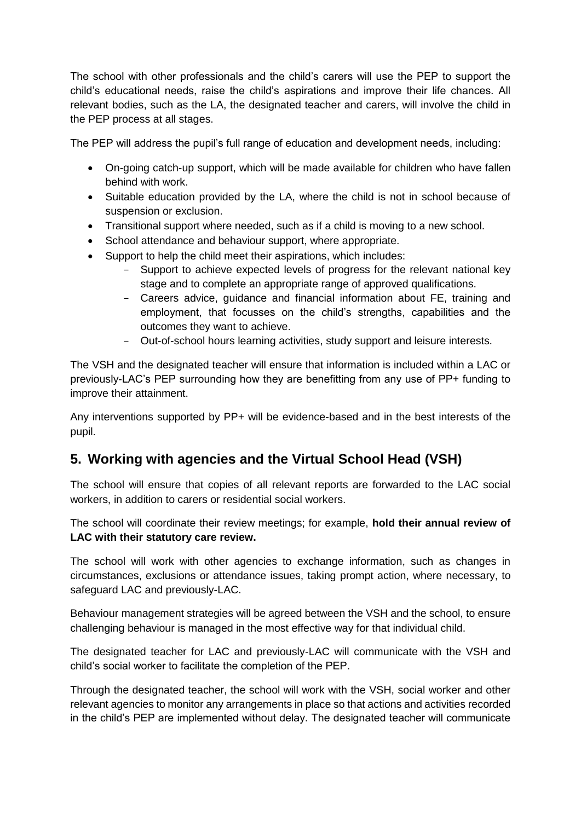The school with other professionals and the child's carers will use the PEP to support the child's educational needs, raise the child's aspirations and improve their life chances. All relevant bodies, such as the LA, the designated teacher and carers, will involve the child in the PEP process at all stages.

The PEP will address the pupil's full range of education and development needs, including:

- On-going catch-up support, which will be made available for children who have fallen behind with work.
- Suitable education provided by the LA, where the child is not in school because of suspension or exclusion.
- Transitional support where needed, such as if a child is moving to a new school.
- School attendance and behaviour support, where appropriate.
- Support to help the child meet their aspirations, which includes:
	- Support to achieve expected levels of progress for the relevant national key stage and to complete an appropriate range of approved qualifications.
	- Careers advice, guidance and financial information about FE, training and employment, that focusses on the child's strengths, capabilities and the outcomes they want to achieve.
	- Out-of-school hours learning activities, study support and leisure interests.

The VSH and the designated teacher will ensure that information is included within a LAC or previously-LAC's PEP surrounding how they are benefitting from any use of PP+ funding to improve their attainment.

Any interventions supported by PP+ will be evidence-based and in the best interests of the pupil.

#### <span id="page-6-0"></span>**5. Working with agencies and the Virtual School Head (VSH)**

The school will ensure that copies of all relevant reports are forwarded to the LAC social workers, in addition to carers or residential social workers.

The school will coordinate their review meetings; for example, **hold their annual review of LAC with their statutory care review.**

The school will work with other agencies to exchange information, such as changes in circumstances, exclusions or attendance issues, taking prompt action, where necessary, to safeguard LAC and previously-LAC.

Behaviour management strategies will be agreed between the VSH and the school, to ensure challenging behaviour is managed in the most effective way for that individual child.

The designated teacher for LAC and previously-LAC will communicate with the VSH and child's social worker to facilitate the completion of the PEP.

Through the designated teacher, the school will work with the VSH, social worker and other relevant agencies to monitor any arrangements in place so that actions and activities recorded in the child's PEP are implemented without delay. The designated teacher will communicate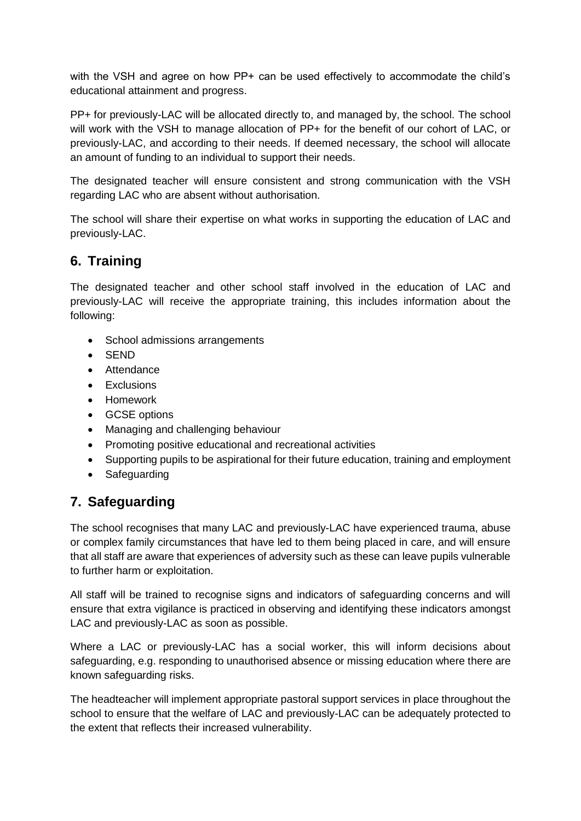with the VSH and agree on how PP+ can be used effectively to accommodate the child's educational attainment and progress.

PP+ for previously-LAC will be allocated directly to, and managed by, the school. The school will work with the VSH to manage allocation of PP+ for the benefit of our cohort of LAC, or previously-LAC, and according to their needs. If deemed necessary, the school will allocate an amount of funding to an individual to support their needs.

The designated teacher will ensure consistent and strong communication with the VSH regarding LAC who are absent without authorisation.

The school will share their expertise on what works in supporting the education of LAC and previously-LAC.

# <span id="page-7-0"></span>**6. Training**

The designated teacher and other school staff involved in the education of LAC and previously-LAC will receive the appropriate training, this includes information about the following:

- School admissions arrangements
- SEND
- Attendance
- Exclusions
- Homework
- GCSE options
- Managing and challenging behaviour
- Promoting positive educational and recreational activities
- Supporting pupils to be aspirational for their future education, training and employment
- Safeguarding

# <span id="page-7-1"></span>**7. Safeguarding**

The school recognises that many LAC and previously-LAC have experienced trauma, abuse or complex family circumstances that have led to them being placed in care, and will ensure that all staff are aware that experiences of adversity such as these can leave pupils vulnerable to further harm or exploitation.

All staff will be trained to recognise signs and indicators of safeguarding concerns and will ensure that extra vigilance is practiced in observing and identifying these indicators amongst LAC and previously-LAC as soon as possible.

Where a LAC or previously-LAC has a social worker, this will inform decisions about safeguarding, e.g. responding to unauthorised absence or missing education where there are known safeguarding risks.

The headteacher will implement appropriate pastoral support services in place throughout the school to ensure that the welfare of LAC and previously-LAC can be adequately protected to the extent that reflects their increased vulnerability.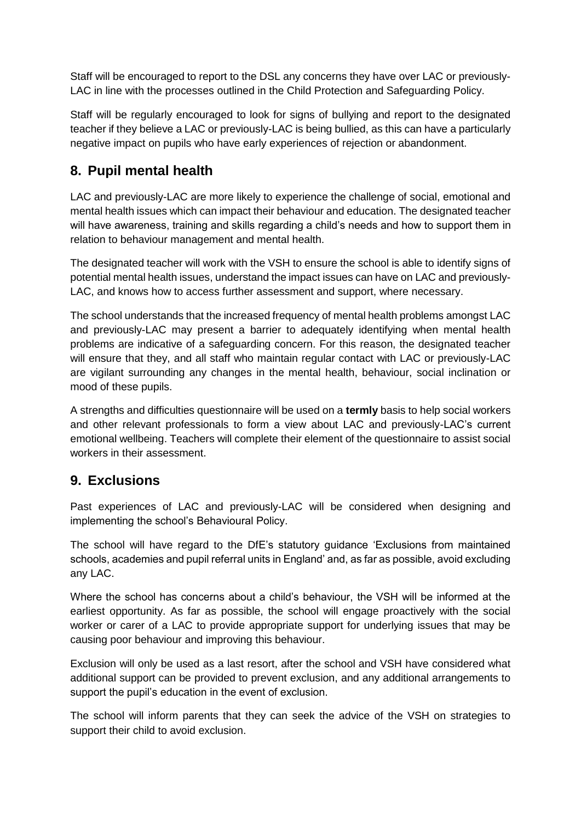Staff will be encouraged to report to the DSL any concerns they have over LAC or previously-LAC in line with the processes outlined in the Child Protection and Safeguarding Policy.

Staff will be regularly encouraged to look for signs of bullying and report to the designated teacher if they believe a LAC or previously-LAC is being bullied, as this can have a particularly negative impact on pupils who have early experiences of rejection or abandonment.

# <span id="page-8-0"></span>**8. Pupil mental health**

LAC and previously-LAC are more likely to experience the challenge of social, emotional and mental health issues which can impact their behaviour and education. The designated teacher will have awareness, training and skills regarding a child's needs and how to support them in relation to behaviour management and mental health.

The designated teacher will work with the VSH to ensure the school is able to identify signs of potential mental health issues, understand the impact issues can have on LAC and previously-LAC, and knows how to access further assessment and support, where necessary.

The school understands that the increased frequency of mental health problems amongst LAC and previously-LAC may present a barrier to adequately identifying when mental health problems are indicative of a safeguarding concern. For this reason, the designated teacher will ensure that they, and all staff who maintain regular contact with LAC or previously-LAC are vigilant surrounding any changes in the mental health, behaviour, social inclination or mood of these pupils.

A strengths and difficulties questionnaire will be used on a **termly** basis to help social workers and other relevant professionals to form a view about LAC and previously-LAC's current emotional wellbeing. Teachers will complete their element of the questionnaire to assist social workers in their assessment.

#### <span id="page-8-1"></span>**9. Exclusions**

Past experiences of LAC and previously-LAC will be considered when designing and implementing the school's Behavioural Policy.

The school will have regard to the DfE's statutory guidance 'Exclusions from maintained schools, academies and pupil referral units in England' and, as far as possible, avoid excluding any LAC.

Where the school has concerns about a child's behaviour, the VSH will be informed at the earliest opportunity. As far as possible, the school will engage proactively with the social worker or carer of a LAC to provide appropriate support for underlying issues that may be causing poor behaviour and improving this behaviour.

Exclusion will only be used as a last resort, after the school and VSH have considered what additional support can be provided to prevent exclusion, and any additional arrangements to support the pupil's education in the event of exclusion.

The school will inform parents that they can seek the advice of the VSH on strategies to support their child to avoid exclusion.